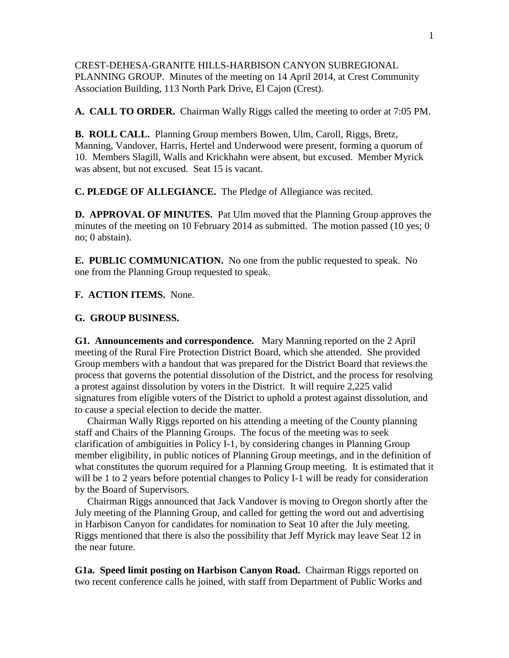CREST-DEHESA-GRANITE HILLS-HARBISON CANYON SUBREGIONAL PLANNING GROUP. Minutes of the meeting on 14 April 2014, at Crest Community Association Building, 113 North Park Drive, El Cajon (Crest).

**A. CALL TO ORDER.** Chairman Wally Riggs called the meeting to order at 7:05 PM.

**B. ROLL CALL.** Planning Group members Bowen, Ulm, Caroll, Riggs, Bretz, Manning, Vandover, Harris, Hertel and Underwood were present, forming a quorum of 10. Members Slagill, Walls and Krickhahn were absent, but excused. Member Myrick was absent, but not excused. Seat 15 is vacant.

**C. PLEDGE OF ALLEGIANCE.** The Pledge of Allegiance was recited.

**D. APPROVAL OF MINUTES.** Pat Ulm moved that the Planning Group approves the minutes of the meeting on 10 February 2014 as submitted. The motion passed (10 yes; 0 no; 0 abstain).

**E. PUBLIC COMMUNICATION.** No one from the public requested to speak. No one from the Planning Group requested to speak.

**F. ACTION ITEMS.** None.

## **G. GROUP BUSINESS.**

**G1. Announcements and correspondence.** Mary Manning reported on the 2 April meeting of the Rural Fire Protection District Board, which she attended. She provided Group members with a handout that was prepared for the District Board that reviews the process that governs the potential dissolution of the District, and the process for resolving a protest against dissolution by voters in the District. It will require 2,225 valid signatures from eligible voters of the District to uphold a protest against dissolution, and to cause a special election to decide the matter.

 Chairman Wally Riggs reported on his attending a meeting of the County planning staff and Chairs of the Planning Groups. The focus of the meeting was to seek clarification of ambiguities in Policy I-1, by considering changes in Planning Group member eligibility, in public notices of Planning Group meetings, and in the definition of what constitutes the quorum required for a Planning Group meeting. It is estimated that it will be 1 to 2 years before potential changes to Policy I-1 will be ready for consideration by the Board of Supervisors.

 Chairman Riggs announced that Jack Vandover is moving to Oregon shortly after the July meeting of the Planning Group, and called for getting the word out and advertising in Harbison Canyon for candidates for nomination to Seat 10 after the July meeting. Riggs mentioned that there is also the possibility that Jeff Myrick may leave Seat 12 in the near future.

**G1a. Speed limit posting on Harbison Canyon Road.** Chairman Riggs reported on two recent conference calls he joined, with staff from Department of Public Works and